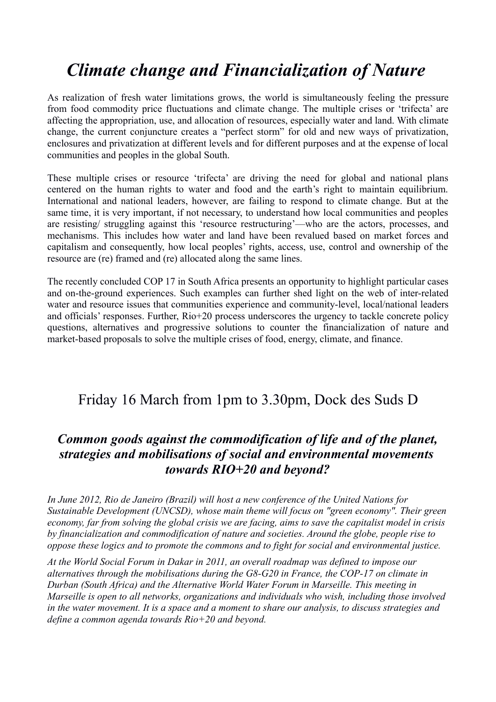# *Climate change and Financialization of Nature*

As realization of fresh water limitations grows, the world is simultaneously feeling the pressure from food commodity price fluctuations and climate change. The multiple crises or 'trifecta' are affecting the appropriation, use, and allocation of resources, especially water and land. With climate change, the current conjuncture creates a "perfect storm" for old and new ways of privatization, enclosures and privatization at different levels and for different purposes and at the expense of local communities and peoples in the global South.

These multiple crises or resource 'trifecta' are driving the need for global and national plans centered on the human rights to water and food and the earth's right to maintain equilibrium. International and national leaders, however, are failing to respond to climate change. But at the same time, it is very important, if not necessary, to understand how local communities and peoples are resisting/ struggling against this 'resource restructuring'—who are the actors, processes, and mechanisms. This includes how water and land have been revalued based on market forces and capitalism and consequently, how local peoples' rights, access, use, control and ownership of the resource are (re) framed and (re) allocated along the same lines.

The recently concluded COP 17 in South Africa presents an opportunity to highlight particular cases and on-the-ground experiences. Such examples can further shed light on the web of inter-related water and resource issues that communities experience and community-level, local/national leaders and officials' responses. Further, Rio+20 process underscores the urgency to tackle concrete policy questions, alternatives and progressive solutions to counter the financialization of nature and market-based proposals to solve the multiple crises of food, energy, climate, and finance.

## Friday 16 March from 1pm to 3.30pm, Dock des Suds D

#### *Common goods against the commodification of life and of the planet, strategies and mobilisations of social and environmental movements towards RIO+20 and beyond?*

*In June 2012, Rio de Janeiro (Brazil) will host a new conference of the United Nations for Sustainable Development (UNCSD), whose main theme will focus on "green economy". Their green economy, far from solving the global crisis we are facing, aims to save the capitalist model in crisis by financialization and commodification of nature and societies. Around the globe, people rise to oppose these logics and to promote the commons and to fight for social and environmental justice.*

*At the World Social Forum in Dakar in 2011, an overall roadmap was defined to impose our alternatives through the mobilisations during the G8-G20 in France, the COP-17 on climate in Durban (South Africa) and the Alternative World Water Forum in Marseille. This meeting in Marseille is open to all networks, organizations and individuals who wish, including those involved in the water movement. It is a space and a moment to share our analysis, to discuss strategies and define a common agenda towards Rio+20 and beyond.*